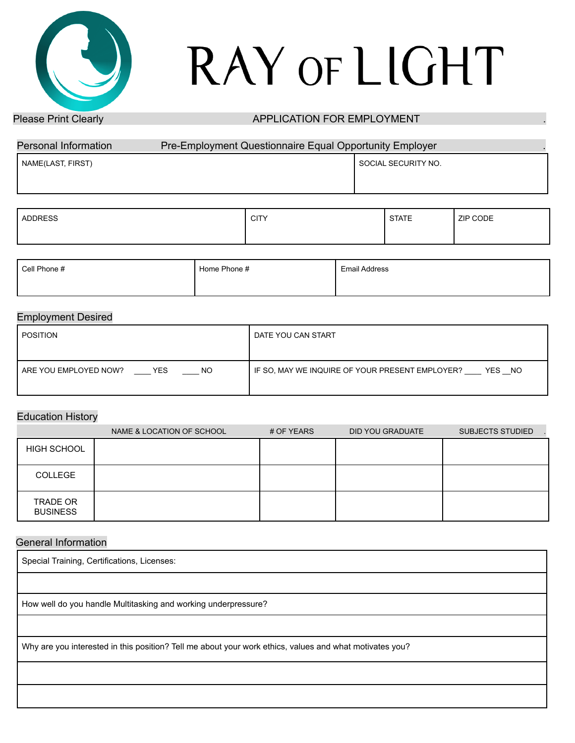# RAY OF LIGHT

## Please Print Clearly **APPLICATION FOR EMPLOYMENT**

| Personal Information | Pre-Employment Questionnaire Equal Opportunity Employer |                     |
|----------------------|---------------------------------------------------------|---------------------|
| NAME(LAST, FIRST)    |                                                         | SOCIAL SECURITY NO. |
|                      |                                                         |                     |

| ADDRESS | <b>CITY</b> | <b>STATE</b> | ZIP CODE |
|---------|-------------|--------------|----------|
|         |             |              |          |

| Cell Phone # | Home Phone # | <b>Email Address</b> |
|--------------|--------------|----------------------|
|              |              |                      |

### Employment Desired

| POSITION                                      | DATE YOU CAN START                                        |
|-----------------------------------------------|-----------------------------------------------------------|
|                                               |                                                           |
| ARE YOU EMPLOYED NOW?<br><b>THE YES</b><br>NO | IF SO, MAY WE INQUIRE OF YOUR PRESENT EMPLOYER?<br>YES NO |

## Education History

|                                    | NAME & LOCATION OF SCHOOL | # OF YEARS | DID YOU GRADUATE | <b>SUBJECTS STUDIED</b> |
|------------------------------------|---------------------------|------------|------------------|-------------------------|
| <b>HIGH SCHOOL</b>                 |                           |            |                  |                         |
| COLLEGE                            |                           |            |                  |                         |
| <b>TRADE OR</b><br><b>BUSINESS</b> |                           |            |                  |                         |

### General Information

| Special Training, Certifications, Licenses:                                                             |
|---------------------------------------------------------------------------------------------------------|
|                                                                                                         |
| How well do you handle Multitasking and working underpressure?                                          |
|                                                                                                         |
| Why are you interested in this position? Tell me about your work ethics, values and what motivates you? |
|                                                                                                         |
|                                                                                                         |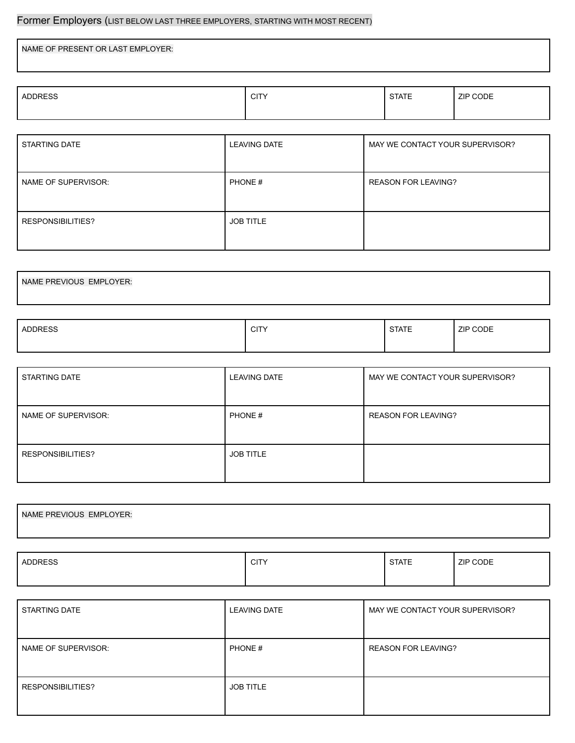# Former Employers (LIST BELOW LAST THREE EMPLOYERS, STARTING WITH MOST RECENT)

NAME OF PRESENT OR LAST EMPLOYER:

|  | <b>ADDRESS</b><br><b>STATE</b><br>CITV<br>ZIP CODE<br>ᄓᄓ |  |
|--|----------------------------------------------------------|--|
|--|----------------------------------------------------------|--|

| STARTING DATE       | <b>LEAVING DATE</b> | MAY WE CONTACT YOUR SUPERVISOR? |
|---------------------|---------------------|---------------------------------|
| NAME OF SUPERVISOR: | PHONE#              | <b>REASON FOR LEAVING?</b>      |
| RESPONSIBILITIES?   | <b>JOB TITLE</b>    |                                 |

| NAME PREVIOUS EMPLOYER: |  |  |
|-------------------------|--|--|
|                         |  |  |

| <b>ADDRESS</b> | $\bigcap$<br>ᄓᄓ | $\sim$ $\sim$ $\sim$ $\sim$<br>□∧<br>10 L | <b>ZIP CODE</b><br>$  -$ |
|----------------|-----------------|-------------------------------------------|--------------------------|
|                |                 |                                           |                          |

| STARTING DATE            | <b>LEAVING DATE</b> | MAY WE CONTACT YOUR SUPERVISOR? |
|--------------------------|---------------------|---------------------------------|
| NAME OF SUPERVISOR:      | PHONE #             | <b>REASON FOR LEAVING?</b>      |
| <b>RESPONSIBILITIES?</b> | <b>JOB TITLE</b>    |                                 |

| NAME PREVIOUS EMPLOYER: |  |  |
|-------------------------|--|--|
|                         |  |  |
|                         |  |  |
|                         |  |  |
|                         |  |  |

| <b>ADDRESS</b> | <b>CITY</b> | <b>STATE</b> | ZIP CODE |
|----------------|-------------|--------------|----------|
|                |             |              |          |

| STARTING DATE       | <b>LEAVING DATE</b> | MAY WE CONTACT YOUR SUPERVISOR? |
|---------------------|---------------------|---------------------------------|
| NAME OF SUPERVISOR: | PHONE#              | <b>REASON FOR LEAVING?</b>      |
| RESPONSIBILITIES?   | <b>JOB TITLE</b>    |                                 |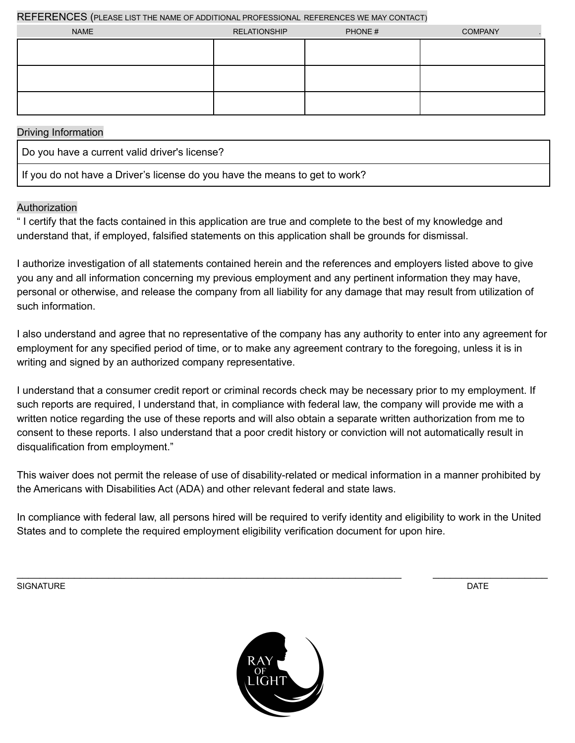REFERENCES (PLEASE LIST THE NAME OF ADDITIONAL PROFESSIONAL REFERENCES WE MAY CONTACT)

| <b>NAME</b> | <b>RELATIONSHIP</b> | PHONE# | <b>COMPANY</b> |
|-------------|---------------------|--------|----------------|
|             |                     |        |                |
|             |                     |        |                |
|             |                     |        |                |
|             |                     |        |                |
|             |                     |        |                |
|             |                     |        |                |

### Driving Information

Do you have a current valid driver's license?

If you do not have a Driver's license do you have the means to get to work?

## Authorization

" I certify that the facts contained in this application are true and complete to the best of my knowledge and understand that, if employed, falsified statements on this application shall be grounds for dismissal.

I authorize investigation of all statements contained herein and the references and employers listed above to give you any and all information concerning my previous employment and any pertinent information they may have, personal or otherwise, and release the company from all liability for any damage that may result from utilization of such information.

I also understand and agree that no representative of the company has any authority to enter into any agreement for employment for any specified period of time, or to make any agreement contrary to the foregoing, unless it is in writing and signed by an authorized company representative.

I understand that a consumer credit report or criminal records check may be necessary prior to my employment. If such reports are required, I understand that, in compliance with federal law, the company will provide me with a written notice regarding the use of these reports and will also obtain a separate written authorization from me to consent to these reports. I also understand that a poor credit history or conviction will not automatically result in disqualification from employment."

This waiver does not permit the release of use of disability-related or medical information in a manner prohibited by the Americans with Disabilities Act (ADA) and other relevant federal and state laws.

In compliance with federal law, all persons hired will be required to verify identity and eligibility to work in the United States and to complete the required employment eligibility verification document for upon hire.

\_\_\_\_\_\_\_\_\_\_\_\_\_\_\_\_\_\_\_\_\_\_\_\_\_\_\_\_\_\_\_\_\_\_\_\_\_\_\_\_\_\_\_\_\_\_\_\_\_\_\_\_\_\_\_\_\_\_\_\_\_\_\_\_\_\_\_ \_\_\_\_\_\_\_\_\_\_\_\_\_\_\_\_\_\_\_\_

SIGNATURE DATE